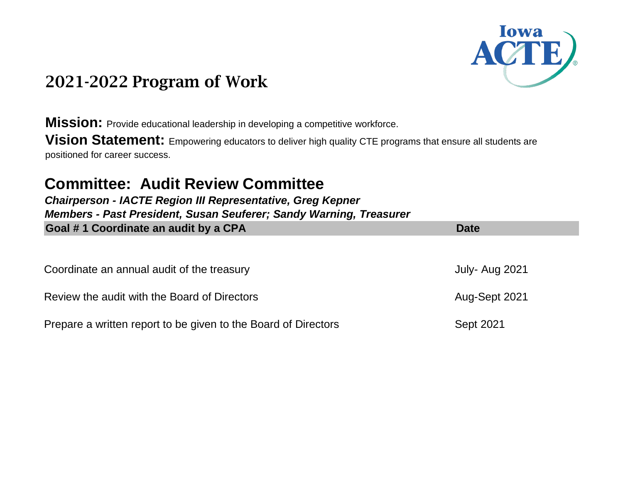

**Mission:** Provide educational leadership in developing a competitive workforce.

**Vision Statement:** Empowering educators to deliver high quality CTE programs that ensure all students are positioned for career success.

### **Committee: Audit Review Committee**

*Chairperson - IACTE Region III Representative, Greg Kepner Members - Past President, Susan Seuferer; Sandy Warning, Treasurer*  **Coal #1 Coordinate an audit by a CPA Date 2014 Date 10 August 2014 Date Date** 

| Coordinate an annual audit of the treasury                     | July- Aug 2021   |
|----------------------------------------------------------------|------------------|
| Review the audit with the Board of Directors                   | Aug-Sept 2021    |
| Prepare a written report to be given to the Board of Directors | <b>Sept 2021</b> |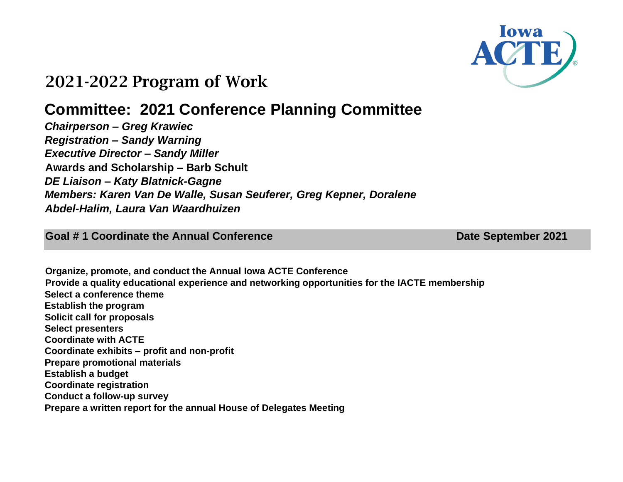

# **Committee: 2021 Conference Planning Committee**

*Chairperson – Greg Krawiec Registration – Sandy Warning Executive Director – Sandy Miller* **Awards and Scholarship – Barb Schult** *DE Liaison – Katy Blatnick-Gagne Members: Karen Van De Walle, Susan Seuferer, Greg Kepner, Doralene Abdel-Halim, Laura Van Waardhuizen*

**Goal #1 Coordinate the Annual Conference Date September 2021** 

**Organize, promote, and conduct the Annual Iowa ACTE Conference Provide a quality educational experience and networking opportunities for the IACTE membership Select a conference theme Establish the program Solicit call for proposals Select presenters Coordinate with ACTE Coordinate exhibits – profit and non-profit Prepare promotional materials Establish a budget Coordinate registration Conduct a follow-up survey Prepare a written report for the annual House of Delegates Meeting**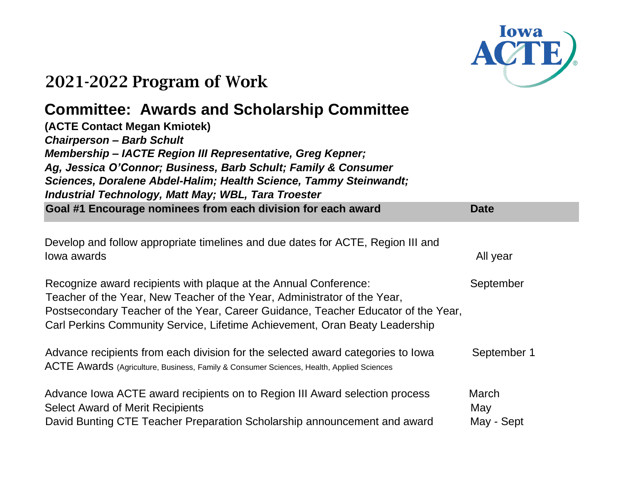

# **Committee: Awards and Scholarship Committee**

| (ACTE Contact Megan Kmiotek)<br><b>Chairperson - Barb Schult</b><br>Membership - IACTE Region III Representative, Greg Kepner;<br>Ag, Jessica O'Connor; Business, Barb Schult; Family & Consumer<br>Sciences, Doralene Abdel-Halim; Health Science, Tammy Steinwandt;<br><b>Industrial Technology, Matt May; WBL, Tara Troester</b> |                            |  |
|-------------------------------------------------------------------------------------------------------------------------------------------------------------------------------------------------------------------------------------------------------------------------------------------------------------------------------------|----------------------------|--|
| Goal #1 Encourage nominees from each division for each award                                                                                                                                                                                                                                                                        | <b>Date</b>                |  |
| Develop and follow appropriate timelines and due dates for ACTE, Region III and<br>lowa awards                                                                                                                                                                                                                                      | All year                   |  |
| Recognize award recipients with plaque at the Annual Conference:<br>Teacher of the Year, New Teacher of the Year, Administrator of the Year,<br>Postsecondary Teacher of the Year, Career Guidance, Teacher Educator of the Year,<br>Carl Perkins Community Service, Lifetime Achievement, Oran Beaty Leadership                    | September                  |  |
| Advance recipients from each division for the selected award categories to lowa<br>ACTE Awards (Agriculture, Business, Family & Consumer Sciences, Health, Applied Sciences                                                                                                                                                         | September 1                |  |
| Advance Iowa ACTE award recipients on to Region III Award selection process<br><b>Select Award of Merit Recipients</b><br>David Bunting CTE Teacher Preparation Scholarship announcement and award                                                                                                                                  | March<br>May<br>May - Sept |  |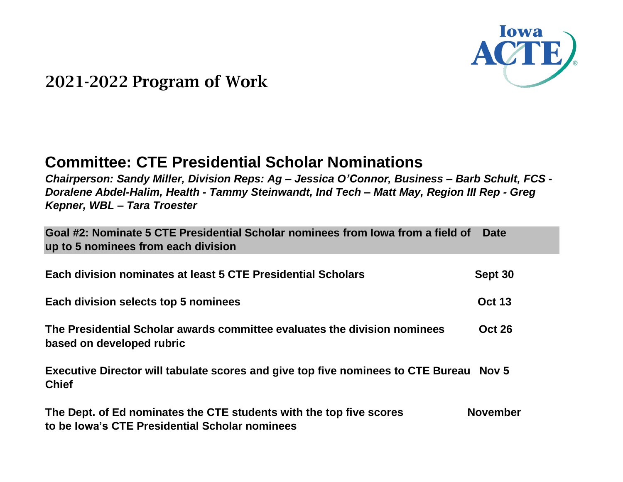

### **Committee: CTE Presidential Scholar Nominations**

*Chairperson: Sandy Miller, Division Reps: Ag – Jessica O'Connor, Business – Barb Schult, FCS - Doralene Abdel-Halim, Health - Tammy Steinwandt, Ind Tech – Matt May, Region III Rep - Greg Kepner, WBL – Tara Troester*

**Goal #2: Nominate 5 CTE Presidential Scholar nominees from Iowa from a field of Date up to 5 nominees from each division**

| Each division nominates at least 5 CTE Presidential Scholars                                           | Sept 30       |
|--------------------------------------------------------------------------------------------------------|---------------|
| Each division selects top 5 nominees                                                                   | <b>Oct 13</b> |
| The Presidential Scholar awards committee evaluates the division nominees<br>based on developed rubric | <b>Oct 26</b> |
| Executive Director will tabulate scores and give top five nominees to CTE Bureau Nov 5<br><b>Chief</b> |               |

**The Dept. of Ed nominates the CTE students with the top five scores November to be Iowa's CTE Presidential Scholar nominees**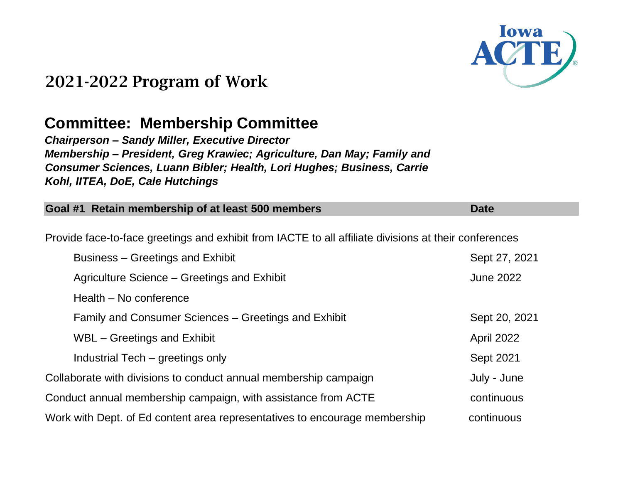

### **Committee: Membership Committee**

*Chairperson – Sandy Miller, Executive Director Membership – President, Greg Krawiec; Agriculture, Dan May; Family and Consumer Sciences, Luann Bibler; Health, Lori Hughes; Business, Carrie Kohl, IITEA, DoE, Cale Hutchings*

| Goal #1 Retain membership of at least 500 members                                                     | <b>Date</b>      |
|-------------------------------------------------------------------------------------------------------|------------------|
|                                                                                                       |                  |
| Provide face-to-face greetings and exhibit from IACTE to all affiliate divisions at their conferences |                  |
| Business – Greetings and Exhibit                                                                      | Sept 27, 2021    |
| Agriculture Science – Greetings and Exhibit                                                           | <b>June 2022</b> |
| Health - No conference                                                                                |                  |
| Family and Consumer Sciences – Greetings and Exhibit                                                  | Sept 20, 2021    |
| WBL – Greetings and Exhibit                                                                           | April 2022       |
| Industrial Tech - greetings only                                                                      | <b>Sept 2021</b> |
| Collaborate with divisions to conduct annual membership campaign                                      | July - June      |
| Conduct annual membership campaign, with assistance from ACTE                                         | continuous       |
| Work with Dept. of Ed content area representatives to encourage membership                            | continuous       |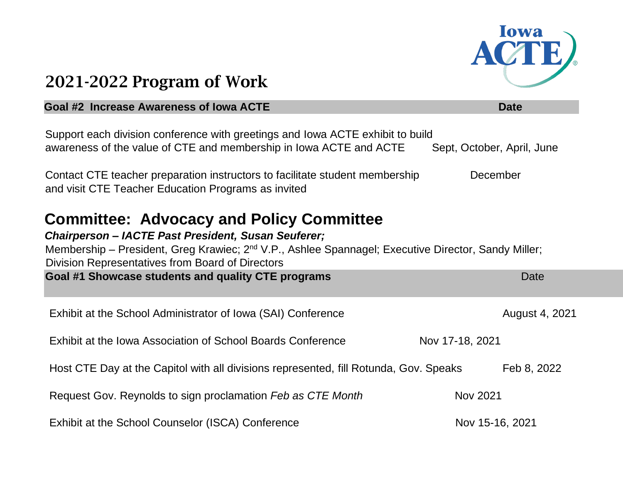

#### **Goal #2 Increase Awareness of Iowa ACTE Community of Australian Community Community Community Community Date**

| Support each division conference with greetings and Iowa ACTE exhibit to build<br>awareness of the value of CTE and membership in Iowa ACTE and ACTE                                                                                                                                                                                       | Sept, October, April, June |
|--------------------------------------------------------------------------------------------------------------------------------------------------------------------------------------------------------------------------------------------------------------------------------------------------------------------------------------------|----------------------------|
| Contact CTE teacher preparation instructors to facilitate student membership<br>and visit CTE Teacher Education Programs as invited                                                                                                                                                                                                        | December                   |
| <b>Committee: Advocacy and Policy Committee</b><br><b>Chairperson - IACTE Past President, Susan Seuferer;</b><br>Membership – President, Greg Krawiec; 2 <sup>nd</sup> V.P., Ashlee Spannagel; Executive Director, Sandy Miller;<br>Division Representatives from Board of Directors<br>Goal #1 Showcase students and quality CTE programs | Date                       |
| Exhibit at the School Administrator of Iowa (SAI) Conference                                                                                                                                                                                                                                                                               | August 4, 2021             |
| Exhibit at the Iowa Association of School Boards Conference                                                                                                                                                                                                                                                                                | Nov 17-18, 2021            |
| Host CTE Day at the Capitol with all divisions represented, fill Rotunda, Gov. Speaks                                                                                                                                                                                                                                                      | Feb 8, 2022                |
| Request Gov. Reynolds to sign proclamation Feb as CTE Month                                                                                                                                                                                                                                                                                | <b>Nov 2021</b>            |
| Exhibit at the School Counselor (ISCA) Conference                                                                                                                                                                                                                                                                                          | Nov 15-16, 2021            |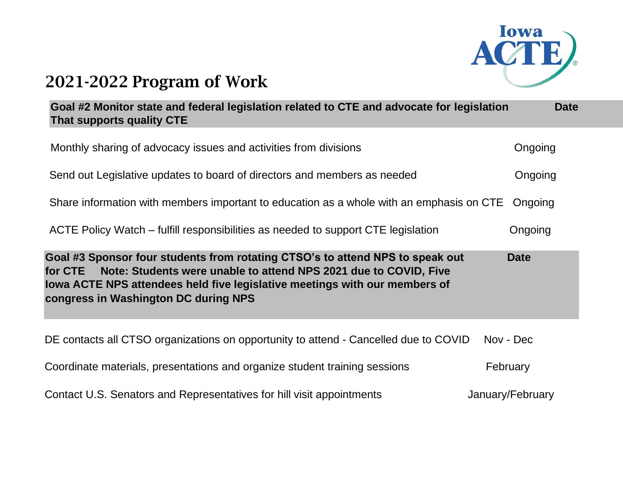

| Goal #2 Monitor state and federal legislation related to CTE and advocate for legislation<br>That supports quality CTE                                                                                                                                                             | <b>Date</b>      |
|------------------------------------------------------------------------------------------------------------------------------------------------------------------------------------------------------------------------------------------------------------------------------------|------------------|
| Monthly sharing of advocacy issues and activities from divisions                                                                                                                                                                                                                   | Ongoing          |
| Send out Legislative updates to board of directors and members as needed                                                                                                                                                                                                           | Ongoing          |
| Share information with members important to education as a whole with an emphasis on CTE                                                                                                                                                                                           | Ongoing          |
| ACTE Policy Watch – fulfill responsibilities as needed to support CTE legislation                                                                                                                                                                                                  | Ongoing          |
| Goal #3 Sponsor four students from rotating CTSO's to attend NPS to speak out<br>Note: Students were unable to attend NPS 2021 due to COVID, Five<br>for CTE<br>lowa ACTE NPS attendees held five legislative meetings with our members of<br>congress in Washington DC during NPS | <b>Date</b>      |
| DE contacts all CTSO organizations on opportunity to attend - Cancelled due to COVID                                                                                                                                                                                               | Nov - Dec        |
| Coordinate materials, presentations and organize student training sessions                                                                                                                                                                                                         | February         |
| Contact U.S. Senators and Representatives for hill visit appointments                                                                                                                                                                                                              | January/February |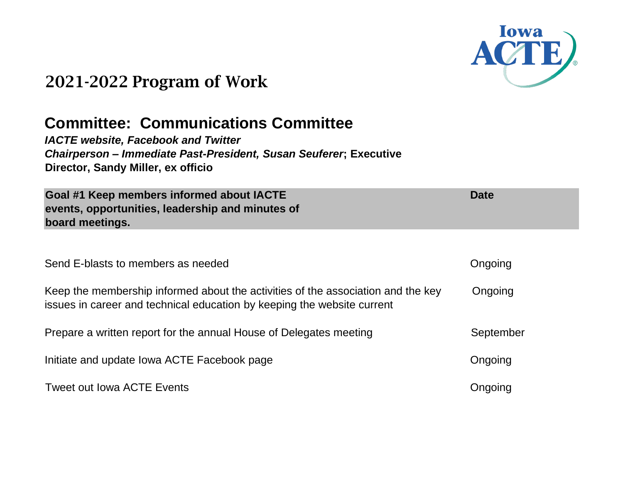

**Date**

# 2021-2022 Program of Work

### **Committee: Communications Committee**

*IACTE website, Facebook and Twitter Chairperson – Immediate Past-President, Susan Seuferer***; Executive Director, Sandy Miller, ex officio**

**Goal #1 Keep members informed about IACTE events, opportunities, leadership and minutes of board meetings.**

| Send E-blasts to members as needed                                                                                                                          | Ongoing   |
|-------------------------------------------------------------------------------------------------------------------------------------------------------------|-----------|
| Keep the membership informed about the activities of the association and the key<br>issues in career and technical education by keeping the website current | Ongoing   |
| Prepare a written report for the annual House of Delegates meeting                                                                                          | September |
| Initiate and update Iowa ACTE Facebook page                                                                                                                 | Ongoing   |
| Tweet out lowa ACTE Events                                                                                                                                  | Ongoing   |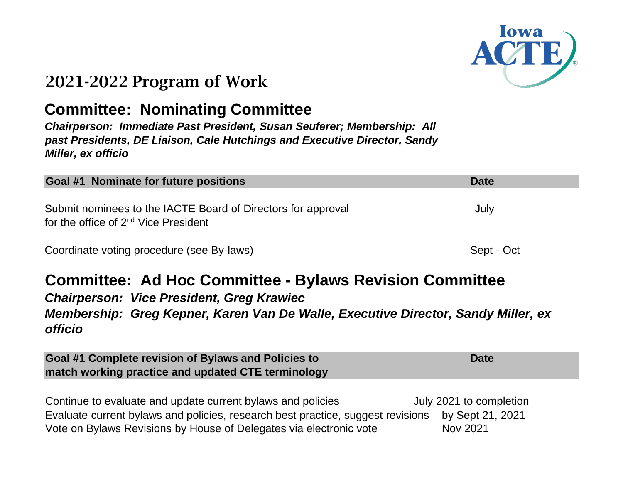

### **Committee: Nominating Committee**

*Chairperson: Immediate Past President, Susan Seuferer; Membership: All past Presidents, DE Liaison, Cale Hutchings and Executive Director, Sandy Miller, ex officio*

| Goal #1 Nominate for future positions                                                                            | <b>Date</b> |
|------------------------------------------------------------------------------------------------------------------|-------------|
| Submit nominees to the IACTE Board of Directors for approval<br>for the office of 2 <sup>nd</sup> Vice President | July        |
| Coordinate voting procedure (see By-laws)                                                                        | Sept - Oct  |

### **Committee: Ad Hoc Committee - Bylaws Revision Committee** *Chairperson: Vice President, Greg Krawiec Membership: Greg Kepner, Karen Van De Walle, Executive Director, Sandy Miller, ex officio*

**Goal #1 Complete revision of Bylaws and Policies to match working practice and updated CTE terminology Date** 

Continue to evaluate and update current bylaws and policies July 2021 to completion Evaluate current bylaws and policies, research best practice, suggest revisions by Sept 21, 2021 Vote on Bylaws Revisions by House of Delegates via electronic vote Nov 2021